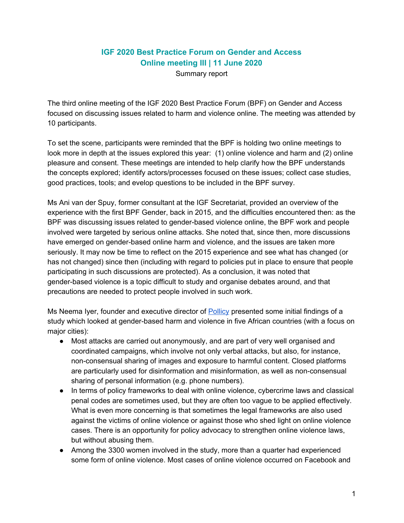## **IGF 2020 Best Practice Forum on Gender and Access Online meeting III | 11 June 2020**

Summary report

The third online meeting of the IGF 2020 Best Practice Forum (BPF) on Gender and Access focused on discussing issues related to harm and violence online. The meeting was attended by 10 participants.

To set the scene, participants were reminded that the BPF is holding two online meetings to look more in depth at the issues explored this year: (1) online violence and harm and (2) online pleasure and consent. These meetings are intended to help clarify how the BPF understands the concepts explored; identify actors/processes focused on these issues; collect case studies, good practices, tools; and evelop questions to be included in the BPF survey.

Ms Ani van der Spuy, former consultant at the IGF Secretariat, provided an overview of the experience with the first BPF Gender, back in 2015, and the difficulties encountered then: as the BPF was discussing issues related to gender-based violence online, the BPF work and people involved were targeted by serious online attacks. She noted that, since then, more discussions have emerged on gender-based online harm and violence, and the issues are taken more seriously. It may now be time to reflect on the 2015 experience and see what has changed (or has not changed) since then (including with regard to policies put in place to ensure that people participating in such discussions are protected). As a conclusion, it was noted that gender-based violence is a topic difficult to study and organise debates around, and that precautions are needed to protect people involved in such work.

Ms Neema Iyer, founder and executive director of [Pollicy](http://pollicy.org/) presented some initial findings of a study which looked at gender-based harm and violence in five African countries (with a focus on major cities):

- Most attacks are carried out anonymously, and are part of very well organised and coordinated campaigns, which involve not only verbal attacks, but also, for instance, non-consensual sharing of images and exposure to harmful content. Closed platforms are particularly used for disinformation and misinformation, as well as non-consensual sharing of personal information (e.g. phone numbers).
- In terms of policy frameworks to deal with online violence, cybercrime laws and classical penal codes are sometimes used, but they are often too vague to be applied effectively. What is even more concerning is that sometimes the legal frameworks are also used against the victims of online violence or against those who shed light on online violence cases. There is an opportunity for policy advocacy to strengthen online violence laws, but without abusing them.
- Among the 3300 women involved in the study, more than a quarter had experienced some form of online violence. Most cases of online violence occurred on Facebook and